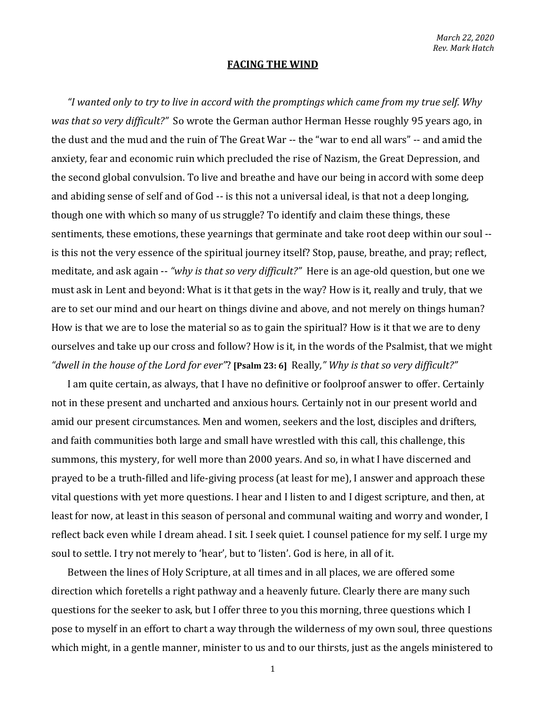## **FACING THE WIND**

*"I wanted only to try to live in accord with the promptings which came from my true self. Why was that so very difficult?"* So wrote the German author Herman Hesse roughly 95 years ago, in the dust and the mud and the ruin of The Great War -- the "war to end all wars" -- and amid the anxiety, fear and economic ruin which precluded the rise of Nazism, the Great Depression, and the second global convulsion. To live and breathe and have our being in accord with some deep and abiding sense of self and of God -- is this not a universal ideal, is that not a deep longing, though one with which so many of us struggle? To identify and claim these things, these sentiments, these emotions, these yearnings that germinate and take root deep within our soul - is this not the very essence of the spiritual journey itself? Stop, pause, breathe, and pray; reflect, meditate, and ask again -- *"why is that so very difficult?"* Here is an age-old question, but one we must ask in Lent and beyond: What is it that gets in the way? How is it, really and truly, that we are to set our mind and our heart on things divine and above, and not merely on things human? How is that we are to lose the material so as to gain the spiritual? How is it that we are to deny ourselves and take up our cross and follow? How is it, in the words of the Psalmist, that we might *"dwell in the house of the Lord for ever"*? **[Psalm 23: 6]** Really*," Why is that so very difficult?"*

I am quite certain, as always, that I have no definitive or foolproof answer to offer. Certainly not in these present and uncharted and anxious hours. Certainly not in our present world and amid our present circumstances. Men and women, seekers and the lost, disciples and drifters, and faith communities both large and small have wrestled with this call, this challenge, this summons, this mystery, for well more than 2000 years. And so, in what I have discerned and prayed to be a truth-filled and life-giving process (at least for me), I answer and approach these vital questions with yet more questions. I hear and I listen to and I digest scripture, and then, at least for now, at least in this season of personal and communal waiting and worry and wonder, I reflect back even while I dream ahead. I sit. I seek quiet. I counsel patience for my self. I urge my soul to settle. I try not merely to 'hear', but to 'listen'. God is here, in all of it.

Between the lines of Holy Scripture, at all times and in all places, we are offered some direction which foretells a right pathway and a heavenly future. Clearly there are many such questions for the seeker to ask, but I offer three to you this morning, three questions which I pose to myself in an effort to chart a way through the wilderness of my own soul, three questions which might, in a gentle manner, minister to us and to our thirsts, just as the angels ministered to

1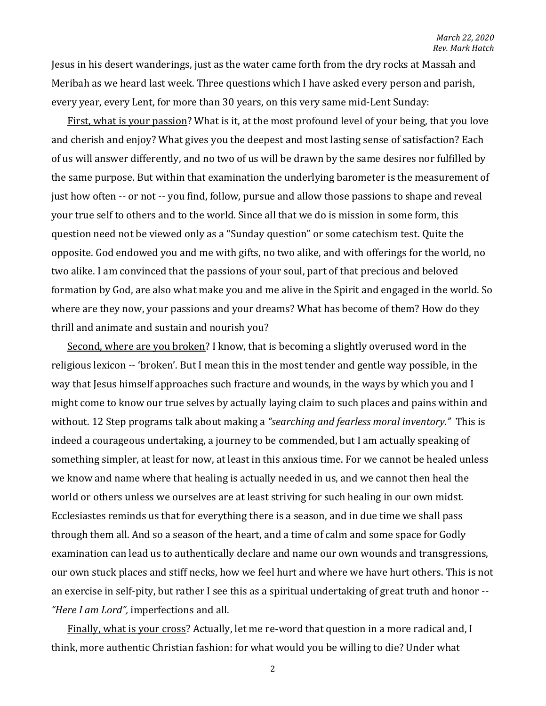Jesus in his desert wanderings, just as the water came forth from the dry rocks at Massah and Meribah as we heard last week. Three questions which I have asked every person and parish, every year, every Lent, for more than 30 years, on this very same mid-Lent Sunday:

First, what is your passion? What is it, at the most profound level of your being, that you love and cherish and enjoy? What gives you the deepest and most lasting sense of satisfaction? Each of us will answer differently, and no two of us will be drawn by the same desires nor fulfilled by the same purpose. But within that examination the underlying barometer is the measurement of just how often -- or not -- you find, follow, pursue and allow those passions to shape and reveal your true self to others and to the world. Since all that we do is mission in some form, this question need not be viewed only as a "Sunday question" or some catechism test. Quite the opposite. God endowed you and me with gifts, no two alike, and with offerings for the world, no two alike. I am convinced that the passions of your soul, part of that precious and beloved formation by God, are also what make you and me alive in the Spirit and engaged in the world. So where are they now, your passions and your dreams? What has become of them? How do they thrill and animate and sustain and nourish you?

Second, where are you broken? I know, that is becoming a slightly overused word in the religious lexicon -- 'broken'. But I mean this in the most tender and gentle way possible, in the way that Jesus himself approaches such fracture and wounds, in the ways by which you and I might come to know our true selves by actually laying claim to such places and pains within and without. 12 Step programs talk about making a *"searching and fearless moral inventory."* This is indeed a courageous undertaking, a journey to be commended, but I am actually speaking of something simpler, at least for now, at least in this anxious time. For we cannot be healed unless we know and name where that healing is actually needed in us, and we cannot then heal the world or others unless we ourselves are at least striving for such healing in our own midst. Ecclesiastes reminds us that for everything there is a season, and in due time we shall pass through them all. And so a season of the heart, and a time of calm and some space for Godly examination can lead us to authentically declare and name our own wounds and transgressions, our own stuck places and stiff necks, how we feel hurt and where we have hurt others. This is not an exercise in self-pity, but rather I see this as a spiritual undertaking of great truth and honor -- *"Here I am Lord",* imperfections and all.

Finally, what is your cross? Actually, let me re-word that question in a more radical and, I think, more authentic Christian fashion: for what would you be willing to die? Under what

2